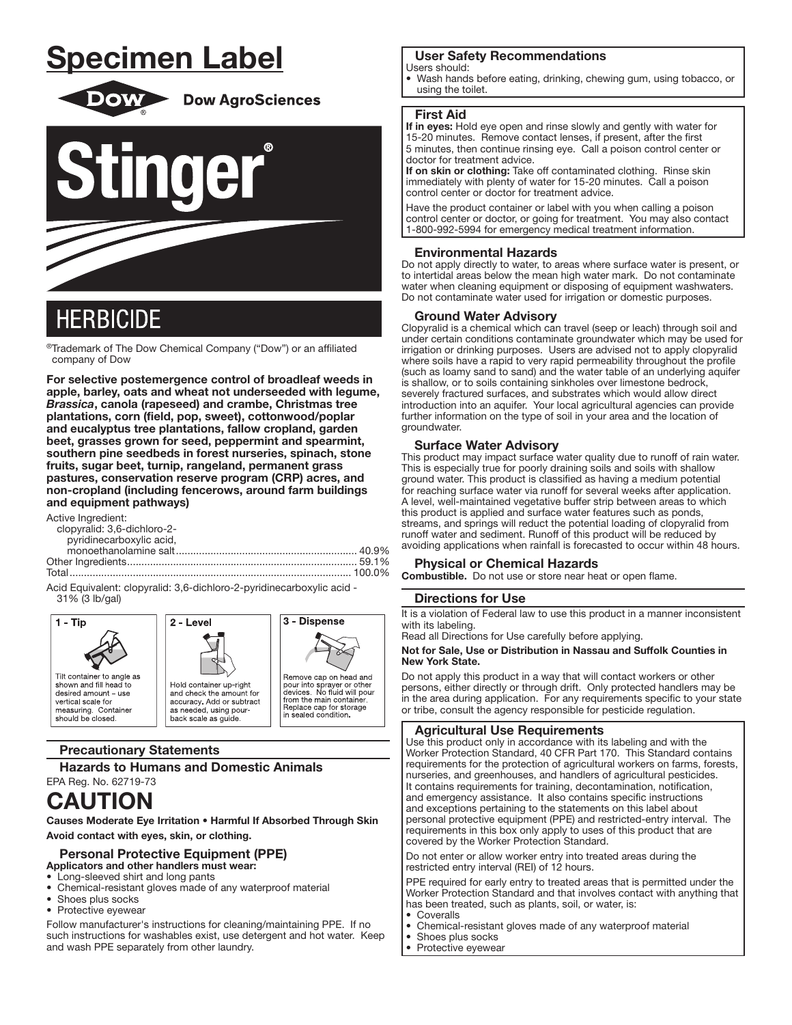# **Specimen Label**



**Dow AgroSciences** 



# **HERBICIDE**

®Trademark of The Dow Chemical Company ("Dow") or an affiliated company of Dow

For selective postemergence control of broadleaf weeds in apple, barley, oats and wheat not underseeded with legume, Brassica, canola (rapeseed) and crambe, Christmas tree plantations, corn (field, pop, sweet), cottonwood/poplar and eucalyptus tree plantations, fallow cropland, garden beet, grasses grown for seed, peppermint and spearmint, southern pine seedbeds in forest nurseries, spinach, stone fruits, sugar beet, turnip, rangeland, permanent grass pastures, conservation reserve program (CRP) acres, and non-cropland (including fencerows, around farm buildings and equipment pathways)

Active Ingredient:

| clopyralid: 3,6-dichloro-2- |  |
|-----------------------------|--|
| pyridinecarboxylic acid,    |  |
|                             |  |
|                             |  |
|                             |  |

Acid Equivalent: clopyralid: 3,6-dichloro-2-pyridinecarboxylic acid -31% (3 lb/gal)



## **Precautionary Statements**

**Hazards to Humans and Domestic Animals** 

## EPA Reg. No. 62719-73 **CAUTION**

Causes Moderate Eye Irritation . Harmful If Absorbed Through Skin Avoid contact with eyes, skin, or clothing.

#### **Personal Protective Equipment (PPE)** Applicators and other handlers must wear:

- Long-sleeved shirt and long pants
- Chemical-resistant gloves made of any waterproof material
- Shoes plus socks
- Protective eyewear

Follow manufacturer's instructions for cleaning/maintaining PPE. If no such instructions for washables exist, use detergent and hot water. Keep and wash PPE separately from other laundry.

## **User Safety Recommendations**

Users should:

Wash hands before eating, drinking, chewing gum, using tobacco, or using the toilet.

## **First Aid**

If in eyes: Hold eye open and rinse slowly and gently with water for 15-20 minutes. Remove contact lenses, if present, after the first 5 minutes, then continue rinsing eye. Call a poison control center or doctor for treatment advice.

If on skin or clothing: Take off contaminated clothing. Rinse skin immediately with plenty of water for 15-20 minutes. Call a poison control center or doctor for treatment advice.

Have the product container or label with you when calling a poison control center or doctor, or going for treatment. You may also contact 1-800-992-5994 for emergency medical treatment information.

## **Environmental Hazards**

Do not apply directly to water, to areas where surface water is present, or to intertidal areas below the mean high water mark. Do not contaminate water when cleaning equipment or disposing of equipment washwaters. Do not contaminate water used for irrigation or domestic purposes.

## **Ground Water Advisory**

Clopyralid is a chemical which can travel (seep or leach) through soil and under certain conditions contaminate groundwater which may be used for irrigation or drinking purposes. Users are advised not to apply clopyralid where soils have a rapid to very rapid permeability throughout the profile (such as loamy sand to sand) and the water table of an underlying aquifer is shallow, or to soils containing sinkholes over limestone bedrock, severely fractured surfaces, and substrates which would allow direct introduction into an aquifer. Your local agricultural agencies can provide further information on the type of soil in your area and the location of groundwater.

## **Surface Water Advisory**

This product may impact surface water quality due to runoff of rain water. This is especially true for poorly draining soils and soils with shallow ground water. This product is classified as having a medium potential for reaching surface water via runoff for several weeks after application. A level, well-maintained vegetative buffer strip between areas to which this product is applied and surface water features such as ponds, streams, and springs will reduct the potential loading of clopyralid from runoff water and sediment. Runoff of this product will be reduced by avoiding applications when rainfall is forecasted to occur within 48 hours.

## **Physical or Chemical Hazards**

Combustible. Do not use or store near heat or open flame.

## **Directions for Use**

> It is a violation of Federal law to use this product in a manner inconsistent with its labeling.

Read all Directions for Use carefully before applying.

#### Not for Sale. Use or Distribution in Nassau and Suffolk Counties in New York State.

Do not apply this product in a way that will contact workers or other persons, either directly or through drift. Only protected handlers may be in the area during application. For any requirements specific to your state or tribe, consult the agency responsible for pesticide regulation.

## **Agricultural Use Requirements**

Use this product only in accordance with its labeling and with the Worker Protection Standard, 40 CFR Part 170. This Standard contains requirements for the protection of agricultural workers on farms, forests, nurseries, and greenhouses, and handlers of agricultural pesticides. It contains requirements for training, decontamination, notification, and emergency assistance. It also contains specific instructions and exceptions pertaining to the statements on this label about personal protective equipment (PPE) and restricted-entry interval. The requirements in this box only apply to uses of this product that are covered by the Worker Protection Standard.

Do not enter or allow worker entry into treated areas during the restricted entry interval (REI) of 12 hours.

PPE required for early entry to treated areas that is permitted under the Worker Protection Standard and that involves contact with anything that has been treated, such as plants, soil, or water, is:

- Coveralls
- Chemical-resistant gloves made of any waterproof material
- Shoes plus socks
- Protective evewear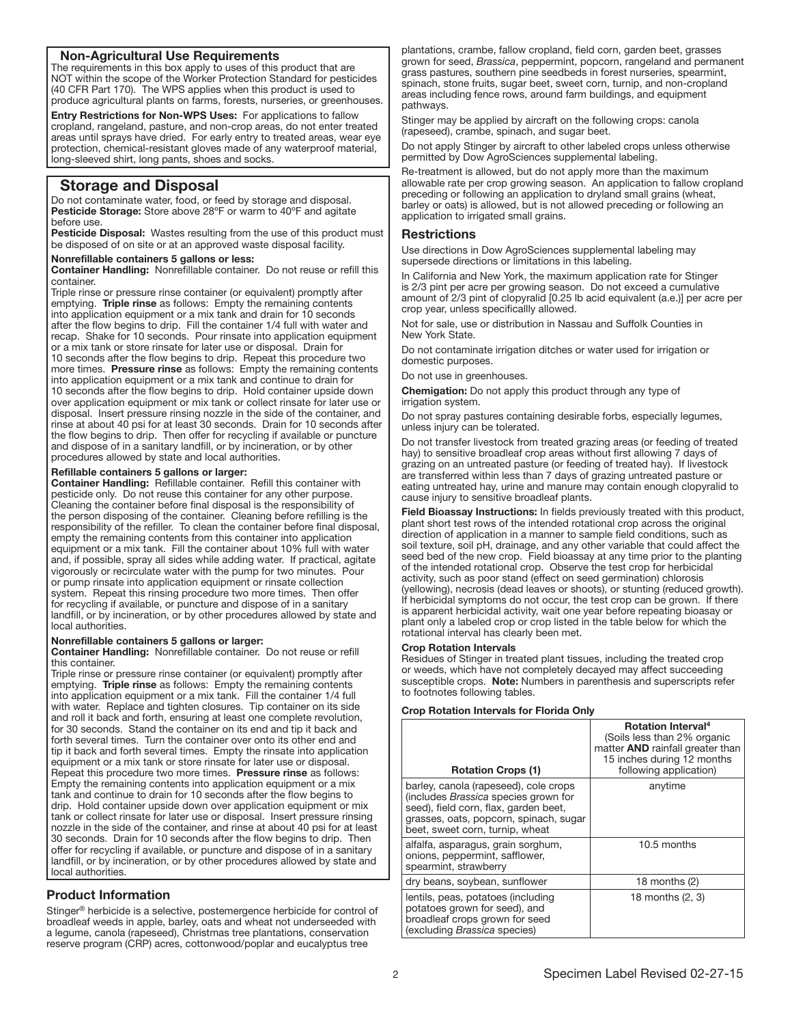## Non-Agricultural Use Requirements

The requirements in this box apply to uses of this product that are NOT within the scope of the Worker Protection Standard for pesticides (40 CFR Part 170). The WPS applies when this product is used to produce agricultural plants on farms, forests, nurseries, or greenhouses.

Entry Restrictions for Non-WPS Uses: For applications to fallow cropland, rangeland, pasture, and non-crop areas, do not enter treated areas until sprays have dried. For early entry to treated areas, wear eye protection, chemical-resistant gloves made of any waterproof material, long-sleeved shirt, long pants, shoes and socks.

## Storage and Disposal

Do not contaminate water, food, or feed by storage and disposal. Pesticide Storage: Store above 28°F or warm to 40°F and agitate before use.

Pesticide Disposal: Wastes resulting from the use of this product must be disposed of on site or at an approved waste disposal facility.

#### Nonrefillable containers 5 gallons or less:

Container Handling: Nonrefillable container. Do not reuse or refill this container.

Triple rinse or pressure rinse container (or equivalent) promptly after emptying. Triple rinse as follows: Empty the remaining contents into application equipment or a mix tank and drain for 10 seconds after the flow begins to drip. Fill the container 1/4 full with water and recap. Shake for 10 seconds. Pour rinsate into application equipment or a mix tank or store rinsate for later use or disposal. Drain for 10 seconds after the flow begins to drip. Repeat this procedure two more times. Pressure rinse as follows: Empty the remaining contents into application equipment or a mix tank and continue to drain for 10 seconds after the flow begins to drip. Hold container upside down over application equipment or mix tank or collect rinsate for later use or disposal. Insert pressure rinsing nozzle in the side of the container, and rinse at about 40 psi for at least 30 seconds. Drain for 10 seconds after the flow begins to drip. Then offer for recycling if available or puncture and dispose of in a sanitary landfill, or by incineration, or by other procedures allowed by state and local authorities.

#### Refillable containers 5 gallons or larger:

Container Handling: Refillable container. Refill this container with pesticide only. Do not reuse this container for any other purpose. Cleaning the container before final disposal is the responsibility of the person disposing of the container. Cleaning before refilling is the responsibility of the refiller. To clean the container before final disposal, empty the remaining contents from this container into application equipment or a mix tank. Fill the container about 10% full with water and, if possible, spray all sides while adding water. If practical, agitate vigorously or recirculate water with the pump for two minutes. Pour or pump rinsate into application equipment or rinsate collection system. Repeat this rinsing procedure two more times. Then offer for recycling if available, or puncture and dispose of in a sanitary landfill, or by incineration, or by other procedures allowed by state and local authorities.

#### Nonrefillable containers 5 gallons or larger:

Container Handling: Nonrefillable container. Do not reuse or refill this container.

Triple rinse or pressure rinse container (or equivalent) promptly after emptying. Triple rinse as follows: Empty the remaining contents into application equipment or a mix tank. Fill the container 1/4 full with water. Replace and tighten closures. Tip container on its side and roll it back and forth, ensuring at least one complete revolution, for 30 seconds. Stand the container on its end and tip it back and forth several times. Turn the container over onto its other end and tip it back and forth several times. Empty the rinsate into application equipment or a mix tank or store rinsate for later use or disposal. Repeat this procedure two more times. Pressure rinse as follows: Empty the remaining contents into application equipment or a mix tank and continue to drain for 10 seconds after the flow begins to drip. Hold container upside down over application equipment or mix tank or collect rinsate for later use or disposal. Insert pressure rinsing nozzle in the side of the container, and rinse at about 40 psi for at least 30 seconds. Drain for 10 seconds after the flow begins to drip. Then offer for recycling if available, or puncture and dispose of in a sanitary landfill, or by incineration, or by other procedures allowed by state and local authorities.

## Product Information

Stinger® herbicide is a selective, postemergence herbicide for control of broadleaf weeds in apple, barley, oats and wheat not underseeded with a legume, canola (rapeseed), Christmas tree plantations, conservation reserve program (CRP) acres, cottonwood/poplar and eucalyptus tree

plantations, crambe, fallow cropland, field corn, garden beet, grasses grown for seed, *Brassica*, peppermint, popcorn, rangeland and permanent grass pastures, southern pine seedbeds in forest nurseries, spearmint, spinach, stone fruits, sugar beet, sweet corn, turnip, and non-cropland areas including fence rows, around farm buildings, and equipment pathways.

Stinger may be applied by aircraft on the following crops: canola (rapeseed), crambe, spinach, and sugar beet.

Do not apply Stinger by aircraft to other labeled crops unless otherwise permitted by Dow AgroSciences supplemental labeling.

Re-treatment is allowed, but do not apply more than the maximum allowable rate per crop growing season. An application to fallow cropland preceding or following an application to dryland small grains (wheat, barley or oats) is allowed, but is not allowed preceding or following an application to irrigated small grains.

## **Restrictions**

Use directions in Dow AgroSciences supplemental labeling may supersede directions or limitations in this labeling.

In California and New York, the maximum application rate for Stinger is 2/3 pint per acre per growing season. Do not exceed a cumulative amount of 2/3 pint of clopyralid [0.25 lb acid equivalent (a.e.)] per acre per crop year, unless specificallly allowed.

Not for sale, use or distribution in Nassau and Suffolk Counties in New York State.

Do not contaminate irrigation ditches or water used for irrigation or domestic purposes.

Do not use in greenhouses.

Chemigation: Do not apply this product through any type of irrigation system.

Do not spray pastures containing desirable forbs, especially legumes, unless injury can be tolerated.

Do not transfer livestock from treated grazing areas (or feeding of treated hay) to sensitive broadleaf crop areas without first allowing 7 days of grazing on an untreated pasture (or feeding of treated hay). If livestock are transferred within less than 7 days of grazing untreated pasture or eating untreated hay, urine and manure may contain enough clopyralid to cause injury to sensitive broadleaf plants.

Field Bioassay Instructions: In fields previously treated with this product, plant short test rows of the intended rotational crop across the original direction of application in a manner to sample field conditions, such as soil texture, soil pH, drainage, and any other variable that could affect the seed bed of the new crop. Field bioassay at any time prior to the planting of the intended rotational crop. Observe the test crop for herbicidal activity, such as poor stand (effect on seed germination) chlorosis (yellowing), necrosis (dead leaves or shoots), or stunting (reduced growth). If herbicidal symptoms do not occur, the test crop can be grown. If there is apparent herbicidal activity, wait one year before repeating bioasay or plant only a labeled crop or crop listed in the table below for which the rotational interval has clearly been met.

#### Crop Rotation Intervals

Residues of Stinger in treated plant tissues, including the treated crop or weeds, which have not completely decayed may affect succeeding susceptible crops. Note: Numbers in parenthesis and superscripts refer to footnotes following tables.

#### Crop Rotation Intervals for Florida Only

| <b>Rotation Crops (1)</b>                                                                                                                                                                           | <b>Rotation Interval</b> <sup>4</sup><br>(Soils less than 2% organic<br>matter <b>AND</b> rainfall greater than<br>15 inches during 12 months<br>following application) |
|-----------------------------------------------------------------------------------------------------------------------------------------------------------------------------------------------------|-------------------------------------------------------------------------------------------------------------------------------------------------------------------------|
| barley, canola (rapeseed), cole crops<br>(includes Brassica species grown for<br>seed), field corn, flax, garden beet,<br>grasses, oats, popcorn, spinach, sugar<br>beet, sweet corn, turnip, wheat | anytime                                                                                                                                                                 |
| alfalfa, asparagus, grain sorghum,<br>onions, peppermint, safflower,<br>spearmint, strawberry                                                                                                       | 10.5 months                                                                                                                                                             |
| dry beans, soybean, sunflower                                                                                                                                                                       | 18 months $(2)$                                                                                                                                                         |
| lentils, peas, potatoes (including<br>potatoes grown for seed), and<br>broadleaf crops grown for seed<br>(excluding Brassica species)                                                               | 18 months (2, 3)                                                                                                                                                        |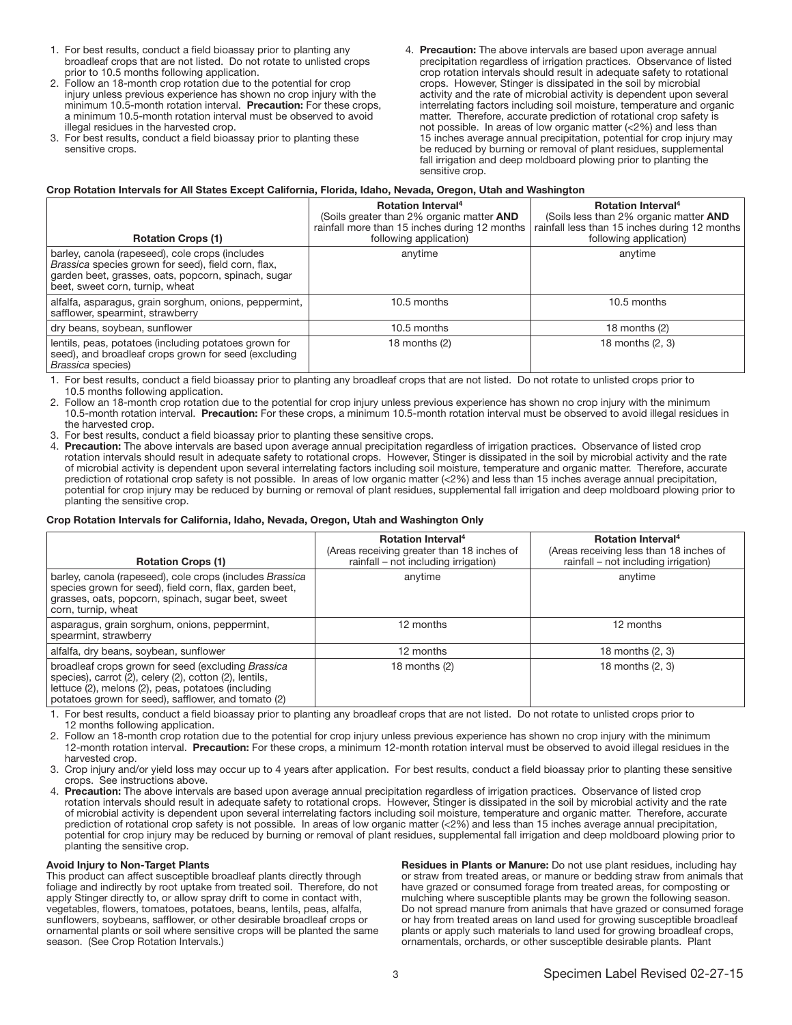- 1. For best results, conduct a field bioassay prior to planting any broadleaf crops that are not listed. Do not rotate to unlisted crops prior to 10.5 months following application.
- 2. Follow an 18-month crop rotation due to the potential for crop injury unless previous experience has shown no crop injury with the minimum 10.5-month rotation interval. Precaution: For these crops, a minimum 10.5-month rotation interval must be observed to avoid illegal residues in the harvested crop.
- 3. For best results, conduct a field bioassay prior to planting these sensitive crops.
- 4. Precaution: The above intervals are based upon average annual precipitation regardless of irrigation practices. Observance of listed crop rotation intervals should result in adequate safety to rotational crops. However, Stinger is dissipated in the soil by microbial activity and the rate of microbial activity is dependent upon several interrelating factors including soil moisture, temperature and organic matter. Therefore, accurate prediction of rotational crop safety is not possible. In areas of low organic matter (<2%) and less than 15 inches average annual precipitation, potential for crop injury may be reduced by burning or removal of plant residues, supplemental fall irrigation and deep moldboard plowing prior to planting the sensitive crop.

#### Crop Rotation Intervals for All States Except California, Florida, Idaho, Nevada, Oregon, Utah and Washington

| <b>Rotation Crops (1)</b>                                                                                                                                                                        | <b>Rotation Interval<sup>4</sup></b><br>(Soils greater than 2% organic matter AND<br>rainfall more than 15 inches during 12 months<br>following application) | <b>Rotation Interval</b> <sup>4</sup><br>(Soils less than 2% organic matter AND<br>rainfall less than 15 inches during 12 months<br>following application) |
|--------------------------------------------------------------------------------------------------------------------------------------------------------------------------------------------------|--------------------------------------------------------------------------------------------------------------------------------------------------------------|------------------------------------------------------------------------------------------------------------------------------------------------------------|
| barley, canola (rapeseed), cole crops (includes<br>Brassica species grown for seed), field corn, flax,<br>garden beet, grasses, oats, popcorn, spinach, sugar<br>beet, sweet corn, turnip, wheat | anytime                                                                                                                                                      | anytime                                                                                                                                                    |
| alfalfa, asparagus, grain sorghum, onions, peppermint,<br>safflower, spearmint, strawberry                                                                                                       | 10.5 months                                                                                                                                                  | 10.5 months                                                                                                                                                |
| dry beans, soybean, sunflower                                                                                                                                                                    | 10.5 months                                                                                                                                                  | 18 months $(2)$                                                                                                                                            |
| lentils, peas, potatoes (including potatoes grown for<br>seed), and broadleaf crops grown for seed (excluding<br>Brassica species)                                                               | 18 months (2)                                                                                                                                                | 18 months (2, 3)                                                                                                                                           |

1. For best results, conduct a field bioassay prior to planting any broadleaf crops that are not listed. Do not rotate to unlisted crops prior to 10.5 months following application.

2. Follow an 18-month crop rotation due to the potential for crop injury unless previous experience has shown no crop injury with the minimum 10.5-month rotation interval. Precaution: For these crops, a minimum 10.5-month rotation interval must be observed to avoid illegal residues in the harvested crop.

3. For best results, conduct a field bioassay prior to planting these sensitive crops.

4. Precaution: The above intervals are based upon average annual precipitation regardless of irrigation practices. Observance of listed crop rotation intervals should result in adequate safety to rotational crops. However, Stinger is dissipated in the soil by microbial activity and the rate of microbial activity is dependent upon several interrelating factors including soil moisture, temperature and organic matter. Therefore, accurate prediction of rotational crop safety is not possible. In areas of low organic matter (<2%) and less than 15 inches average annual precipitation, potential for crop injury may be reduced by burning or removal of plant residues, supplemental fall irrigation and deep moldboard plowing prior to planting the sensitive crop.

#### Crop Rotation Intervals for California, Idaho, Nevada, Oregon, Utah and Washington Only

| <b>Rotation Crops (1)</b>                                                                                                                                                                                                 | <b>Rotation Interval</b> <sup>4</sup><br>(Areas receiving greater than 18 inches of<br>rainfall – not including irrigation) | <b>Rotation Interval</b> <sup>4</sup><br>(Areas receiving less than 18 inches of<br>rainfall – not including irrigation) |
|---------------------------------------------------------------------------------------------------------------------------------------------------------------------------------------------------------------------------|-----------------------------------------------------------------------------------------------------------------------------|--------------------------------------------------------------------------------------------------------------------------|
| barley, canola (rapeseed), cole crops (includes Brassica<br>species grown for seed), field corn, flax, garden beet,<br>grasses, oats, popcorn, spinach, sugar beet, sweet<br>corn, turnip, wheat                          | anytime                                                                                                                     | anytime                                                                                                                  |
| asparagus, grain sorghum, onions, peppermint,<br>spearmint, strawberry                                                                                                                                                    | 12 months                                                                                                                   | 12 months                                                                                                                |
| alfalfa, dry beans, soybean, sunflower                                                                                                                                                                                    | 12 months                                                                                                                   | 18 months (2, 3)                                                                                                         |
| broadleaf crops grown for seed (excluding Brassica<br>species), carrot (2), celery (2), cotton (2), lentils,<br>lettuce (2), melons (2), peas, potatoes (including<br>potatoes grown for seed), safflower, and tomato (2) | 18 months $(2)$                                                                                                             | 18 months (2, 3)                                                                                                         |

1. For best results, conduct a field bioassay prior to planting any broadleaf crops that are not listed. Do not rotate to unlisted crops prior to 12 months following application.

2. Follow an 18-month crop rotation due to the potential for crop injury unless previous experience has shown no crop injury with the minimum 12-month rotation interval. Precaution: For these crops, a minimum 12-month rotation interval must be observed to avoid illegal residues in the harvested crop.

3. Crop injury and/or yield loss may occur up to 4 years after application. For best results, conduct a field bioassay prior to planting these sensitive crops. See instructions above.

Precaution: The above intervals are based upon average annual precipitation regardless of irrigation practices. Observance of listed crop rotation intervals should result in adequate safety to rotational crops. However, Stinger is dissipated in the soil by microbial activity and the rate of microbial activity is dependent upon several interrelating factors including soil moisture, temperature and organic matter. Therefore, accurate prediction of rotational crop safety is not possible. In areas of low organic matter (<2%) and less than 15 inches average annual precipitation, potential for crop injury may be reduced by burning or removal of plant residues, supplemental fall irrigation and deep moldboard plowing prior to planting the sensitive crop.

#### Avoid Injury to Non-Target Plants

This product can affect susceptible broadleaf plants directly through foliage and indirectly by root uptake from treated soil. Therefore, do not apply Stinger directly to, or allow spray drift to come in contact with, vegetables, flowers, tomatoes, potatoes, beans, lentils, peas, alfalfa, sunflowers, soybeans, safflower, or other desirable broadleaf crops or ornamental plants or soil where sensitive crops will be planted the same season. (See Crop Rotation Intervals.)

Residues in Plants or Manure: Do not use plant residues, including hay or straw from treated areas, or manure or bedding straw from animals that have grazed or consumed forage from treated areas, for composting or mulching where susceptible plants may be grown the following season. Do not spread manure from animals that have grazed or consumed forage or hay from treated areas on land used for growing susceptible broadleaf plants or apply such materials to land used for growing broadleaf crops, ornamentals, orchards, or other susceptible desirable plants. Plant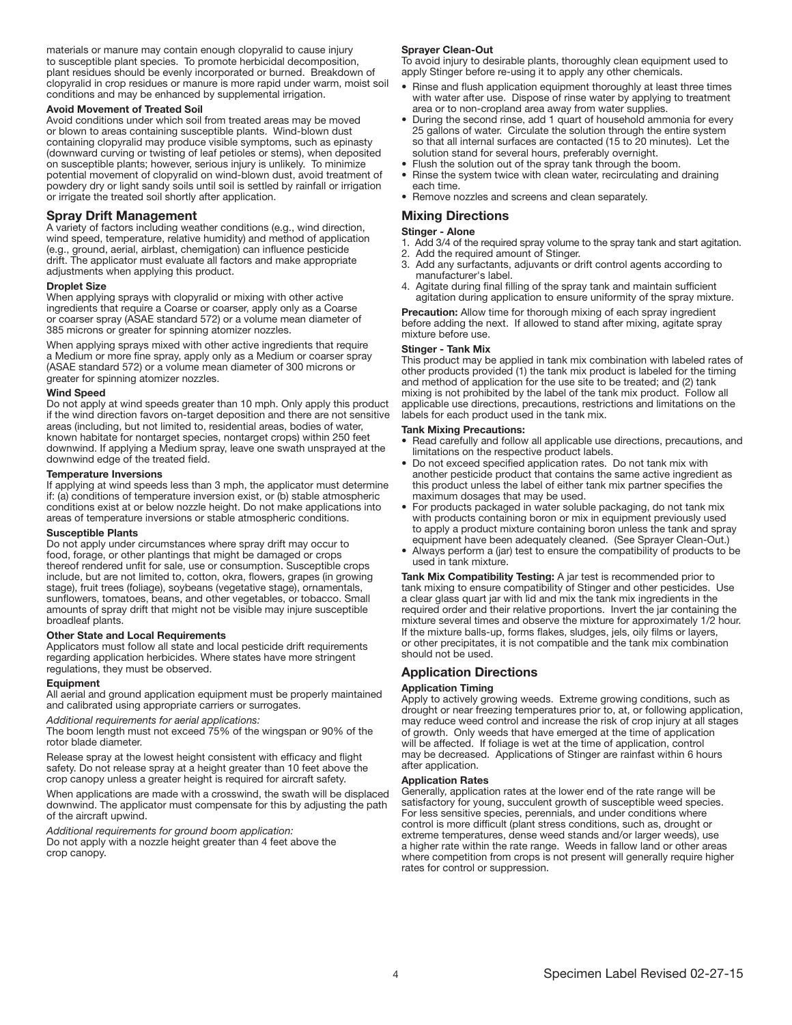materials or manure may contain enough clopyralid to cause injury to susceptible plant species. To promote herbicidal decomposition, plant residues should be evenly incorporated or burned. Breakdown of clopyralid in crop residues or manure is more rapid under warm, moist soil conditions and may be enhanced by supplemental irrigation.

#### Avoid Movement of Treated Soil

Avoid conditions under which soil from treated areas may be moved or blown to areas containing susceptible plants. Wind-blown dust containing clopyralid may produce visible symptoms, such as epinasty (downward curving or twisting of leaf petioles or stems), when deposited on susceptible plants; however, serious injury is unlikely. To minimize potential movement of clopyralid on wind-blown dust, avoid treatment of powdery dry or light sandy soils until soil is settled by rainfall or irrigation or irrigate the treated soil shortly after application.

### Spray Drift Management

A variety of factors including weather conditions (e.g., wind direction, wind speed, temperature, relative humidity) and method of application (e.g., ground, aerial, airblast, chemigation) can influence pesticide drift. The applicator must evaluate all factors and make appropriate adjustments when applying this product.

#### Droplet Size

When applying sprays with clopyralid or mixing with other active ingredients that require a Coarse or coarser, apply only as a Coarse or coarser spray (ASAE standard 572) or a volume mean diameter of 385 microns or greater for spinning atomizer nozzles.

When applying sprays mixed with other active ingredients that require a Medium or more fine spray, apply only as a Medium or coarser spray (ASAE standard 572) or a volume mean diameter of 300 microns or greater for spinning atomizer nozzles.

#### Wind Speed

Do not apply at wind speeds greater than 10 mph. Only apply this product if the wind direction favors on-target deposition and there are not sensitive areas (including, but not limited to, residential areas, bodies of water, known habitate for nontarget species, nontarget crops) within 250 feet downwind. If applying a Medium spray, leave one swath unsprayed at the downwind edge of the treated field.

#### Temperature Inversions

If applying at wind speeds less than 3 mph, the applicator must determine if: (a) conditions of temperature inversion exist, or (b) stable atmospheric conditions exist at or below nozzle height. Do not make applications into areas of temperature inversions or stable atmospheric conditions.

#### Susceptible Plants

Do not apply under circumstances where spray drift may occur to food, forage, or other plantings that might be damaged or crops thereof rendered unfit for sale, use or consumption. Susceptible crops include, but are not limited to, cotton, okra, flowers, grapes (in growing stage), fruit trees (foliage), soybeans (vegetative stage), ornamentals, sunflowers, tomatoes, beans, and other vegetables, or tobacco. Small amounts of spray drift that might not be visible may injure susceptible broadleaf plants.

#### Other State and Local Requirements

Applicators must follow all state and local pesticide drift requirements regarding application herbicides. Where states have more stringent regulations, they must be observed.

#### Equipment

All aerial and ground application equipment must be properly maintained and calibrated using appropriate carriers or surrogates.

*Additional requirements for aerial applications:* The boom length must not exceed 75% of the wingspan or 90% of the rotor blade diameter.

Release spray at the lowest height consistent with efficacy and flight safety. Do not release spray at a height greater than 10 feet above the crop canopy unless a greater height is required for aircraft safety.

When applications are made with a crosswind, the swath will be displaced downwind. The applicator must compensate for this by adjusting the path of the aircraft upwind.

*Additional requirements for ground boom application:* Do not apply with a nozzle height greater than 4 feet above the crop canopy.

#### Sprayer Clean-Out

To avoid injury to desirable plants, thoroughly clean equipment used to apply Stinger before re-using it to apply any other chemicals.

- Rinse and flush application equipment thoroughly at least three times with water after use. Dispose of rinse water by applying to treatment area or to non-cropland area away from water supplies.
- During the second rinse, add 1 quart of household ammonia for every 25 gallons of water. Circulate the solution through the entire system so that all internal surfaces are contacted (15 to 20 minutes). Let the solution stand for several hours, preferably overnight.
- Flush the solution out of the spray tank through the boom.
- Rinse the system twice with clean water, recirculating and draining each time.
- Remove nozzles and screens and clean separately.

### Mixing Directions

#### Stinger - Alone

- 1. Add 3/4 of the required spray volume to the spray tank and start agitation. 2. Add the required amount of Stinger.
- 3. Add any surfactants, adjuvants or drift control agents according to manufacturer's label.
- 4. Agitate during final filling of the spray tank and maintain sufficient agitation during application to ensure uniformity of the spray mixture.

Precaution: Allow time for thorough mixing of each spray ingredient before adding the next. If allowed to stand after mixing, agitate spray mixture before use.

#### Stinger - Tank Mix

This product may be applied in tank mix combination with labeled rates of other products provided (1) the tank mix product is labeled for the timing and method of application for the use site to be treated; and (2) tank mixing is not prohibited by the label of the tank mix product. Follow all applicable use directions, precautions, restrictions and limitations on the labels for each product used in the tank mix.

#### Tank Mixing Precautions:

- Read carefully and follow all applicable use directions, precautions, and limitations on the respective product labels.
- Do not exceed specified application rates. Do not tank mix with another pesticide product that contains the same active ingredient as this product unless the label of either tank mix partner specifies the maximum dosages that may be used.
- For products packaged in water soluble packaging, do not tank mix with products containing boron or mix in equipment previously used to apply a product mixture containing boron unless the tank and spray equipment have been adequately cleaned. (See Sprayer Clean-Out.)
- Always perform a (jar) test to ensure the compatibility of products to be used in tank mixture.

Tank Mix Compatibility Testing: A jar test is recommended prior to tank mixing to ensure compatibility of Stinger and other pesticides. Use a clear glass quart jar with lid and mix the tank mix ingredients in the required order and their relative proportions. Invert the jar containing the mixture several times and observe the mixture for approximately 1/2 hour. If the mixture balls-up, forms flakes, sludges, jels, oily films or layers, or other precipitates, it is not compatible and the tank mix combination should not be used.

## Application Directions

#### Application Timing

Apply to actively growing weeds. Extreme growing conditions, such as drought or near freezing temperatures prior to, at, or following application, may reduce weed control and increase the risk of crop injury at all stages of growth. Only weeds that have emerged at the time of application will be affected. If foliage is wet at the time of application, control may be decreased. Applications of Stinger are rainfast within 6 hours after application.

#### Application Rates

Generally, application rates at the lower end of the rate range will be satisfactory for young, succulent growth of susceptible weed species. For less sensitive species, perennials, and under conditions where control is more difficult (plant stress conditions, such as, drought or extreme temperatures, dense weed stands and/or larger weeds), use a higher rate within the rate range. Weeds in fallow land or other areas where competition from crops is not present will generally require higher rates for control or suppression.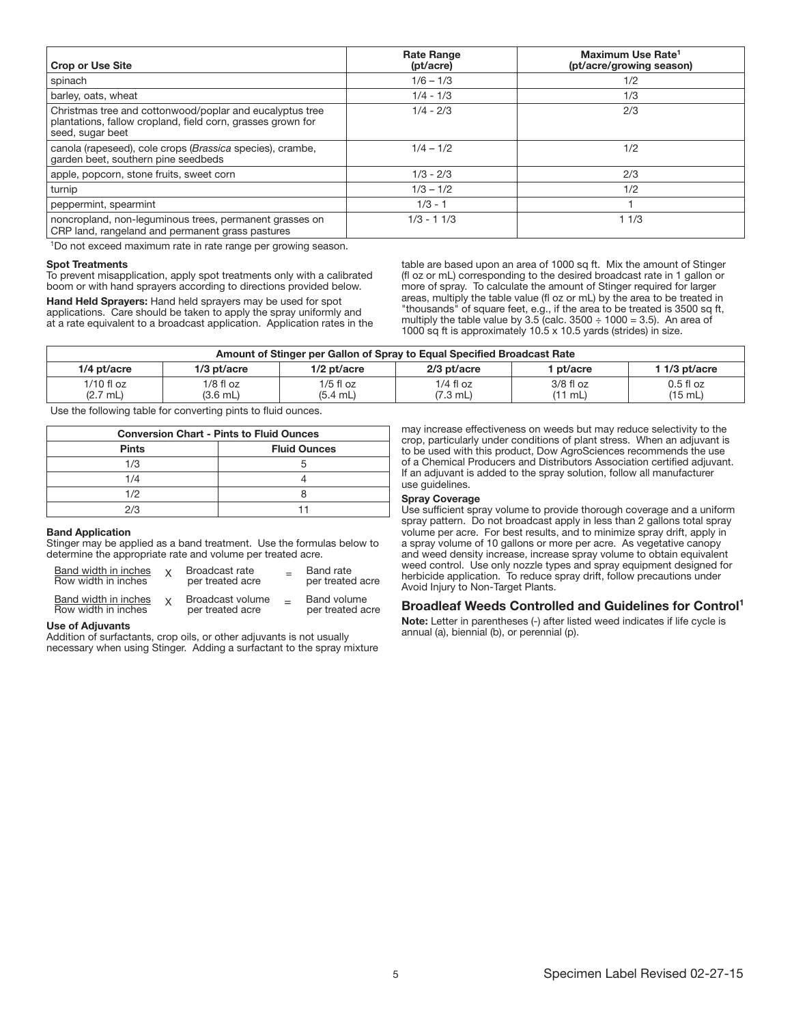| <b>Crop or Use Site</b>                                                                                                                     | <b>Rate Range</b><br>(pt/acre) | Maximum Use Rate <sup>1</sup><br>(pt/acre/growing season) |
|---------------------------------------------------------------------------------------------------------------------------------------------|--------------------------------|-----------------------------------------------------------|
| spinach                                                                                                                                     | $1/6 - 1/3$                    | 1/2                                                       |
| barley, oats, wheat                                                                                                                         | $1/4 - 1/3$                    | 1/3                                                       |
| Christmas tree and cottonwood/poplar and eucalyptus tree<br>plantations, fallow cropland, field corn, grasses grown for<br>seed, sugar beet | $1/4 - 2/3$                    | 2/3                                                       |
| canola (rapeseed), cole crops (Brassica species), crambe,<br>garden beet, southern pine seedbeds                                            | $1/4 - 1/2$                    | 1/2                                                       |
| apple, popcorn, stone fruits, sweet corn                                                                                                    | $1/3 - 2/3$                    | 2/3                                                       |
| turnip                                                                                                                                      | $1/3 - 1/2$                    | 1/2                                                       |
| peppermint, spearmint                                                                                                                       | $1/3 - 1$                      |                                                           |
| noncropland, non-lequminous trees, permanent grasses on<br>CRP land, rangeland and permanent grass pastures                                 | $1/3 - 11/3$                   | 11/3                                                      |

<sup>1</sup>Do not exceed maximum rate in rate range per growing season.

#### Spot Treatments

To prevent misapplication, apply spot treatments only with a calibrated boom or with hand sprayers according to directions provided below.

Hand Held Sprayers: Hand held sprayers may be used for spot applications. Care should be taken to apply the spray uniformly and at a rate equivalent to a broadcast application. Application rates in the table are based upon an area of 1000 sq ft. Mix the amount of Stinger (fl oz or mL) corresponding to the desired broadcast rate in 1 gallon or more of spray. To calculate the amount of Stinger required for larger areas, multiply the table value (fl oz or mL) by the area to be treated in "thousands" of square feet, e.g., if the area to be treated is 3500 sq ft, multiply the table value by  $3.5$  (calc.  $3500 \div 1000 = 3.5$ ). An area of 1000 sq ft is approximately 10.5 x 10.5 yards (strides) in size.

| Amount of Stinger per Gallon of Spray to Equal Specified Broadcast Rate |                         |                         |                         |                        |                                 |
|-------------------------------------------------------------------------|-------------------------|-------------------------|-------------------------|------------------------|---------------------------------|
| 1/4 pt/acre                                                             | $1/3$ pt/acre           | $1/2$ pt/acre           | $2/3$ pt/acre           | 1 pt/acre              | 1 1/3 pt/acre                   |
| $1/10$ fl oz<br>$(2.7 \text{ mL})$                                      | $1/8$ fl oz<br>(3.6 mL) | 1/5 fl oz<br>$(5.4$ mL) | $1/4$ fl oz<br>(7.3 mL) | $3/8$ fl oz<br>(11 mL) | $0.5f$ loz<br>$(15 \text{ mL})$ |

Use the following table for converting pints to fluid ounces.

| <b>Conversion Chart - Pints to Fluid Ounces</b> |                     |  |
|-------------------------------------------------|---------------------|--|
| <b>Pints</b>                                    | <b>Fluid Ounces</b> |  |
| 1/3                                             |                     |  |
| 1/4                                             |                     |  |
| 1/2                                             |                     |  |
| 2/3                                             |                     |  |

#### Ī Band Application

Stinger may be applied as a band treatment. Use the formulas below to determine the appropriate rate and volume per treated acre.

| Band width in inches<br>Row width in inches        | Broadcast rate<br>per treated acre   | <b>Band</b> rate<br>per treated acre |
|----------------------------------------------------|--------------------------------------|--------------------------------------|
| <b>Band width in inches</b><br>Row width in inches | Broadcast volume<br>per treated acre | Band volume<br>per treated acre      |

#### Use of Adjuvants

Addition of surfactants, crop oils, or other adjuvants is not usually necessary when using Stinger. Adding a surfactant to the spray mixture may increase effectiveness on weeds but may reduce selectivity to the crop, particularly under conditions of plant stress. When an adjuvant is to be used with this product, Dow AgroSciences recommends the use of a Chemical Producers and Distributors Association certified adjuvant. If an adjuvant is added to the spray solution, follow all manufacturer use guidelines.

#### Spray Coverage

Use sufficient spray volume to provide thorough coverage and a uniform spray pattern. Do not broadcast apply in less than 2 gallons total spray volume per acre. For best results, and to minimize spray drift, apply in a spray volume of 10 gallons or more per acre. As vegetative canopy and weed density increase, increase spray volume to obtain equivalent weed control. Use only nozzle types and spray equipment designed for herbicide application. To reduce spray drift, follow precautions under Avoid Injury to Non-Target Plants.

#### Broadleaf Weeds Controlled and Guidelines for Control1

Note: Letter in parentheses (-) after listed weed indicates if life cycle is annual (a), biennial (b), or perennial (p).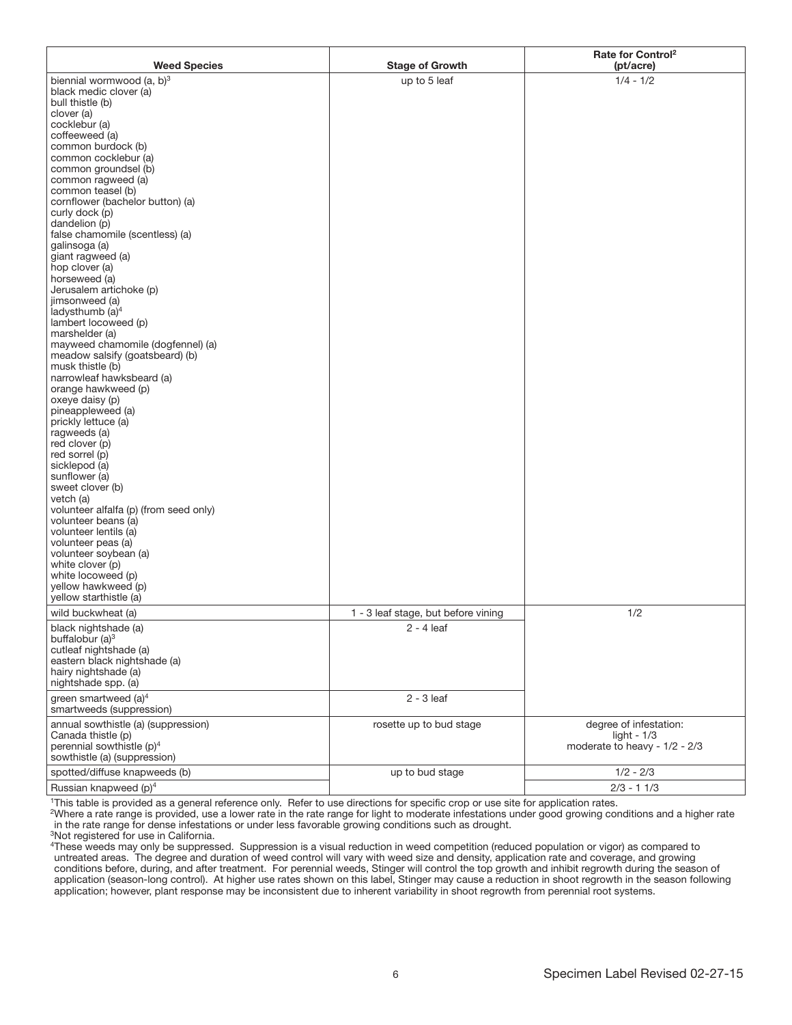| <b>Weed Species</b>                                    | <b>Stage of Growth</b>              | Rate for Control <sup>2</sup><br>(pt/acre) |
|--------------------------------------------------------|-------------------------------------|--------------------------------------------|
| biennial wormwood (a, b) <sup>3</sup>                  | up to 5 leaf                        | $1/4 - 1/2$                                |
| black medic clover (a)                                 |                                     |                                            |
| bull thistle (b)                                       |                                     |                                            |
| clover (a)                                             |                                     |                                            |
| cocklebur (a)<br>coffeeweed (a)                        |                                     |                                            |
| common burdock (b)                                     |                                     |                                            |
| common cocklebur (a)                                   |                                     |                                            |
| common groundsel (b)                                   |                                     |                                            |
| common ragweed (a)<br>common teasel (b)                |                                     |                                            |
| cornflower (bachelor button) (a)                       |                                     |                                            |
| curly dock (p)                                         |                                     |                                            |
| dandelion (p)                                          |                                     |                                            |
| false chamomile (scentless) (a)                        |                                     |                                            |
| galinsoga (a)<br>giant ragweed (a)                     |                                     |                                            |
| hop clover (a)                                         |                                     |                                            |
| horseweed (a)                                          |                                     |                                            |
| Jerusalem artichoke (p)                                |                                     |                                            |
| jimsonweed (a)                                         |                                     |                                            |
| ladysthumb (a) <sup>4</sup><br>lambert locoweed (p)    |                                     |                                            |
| marshelder (a)                                         |                                     |                                            |
| mayweed chamomile (dogfennel) (a)                      |                                     |                                            |
| meadow salsify (goatsbeard) (b)                        |                                     |                                            |
| musk thistle (b)                                       |                                     |                                            |
| narrowleaf hawksbeard (a)<br>orange hawkweed (p)       |                                     |                                            |
| oxeye daisy (p)                                        |                                     |                                            |
| pineappleweed (a)                                      |                                     |                                            |
| prickly lettuce (a)                                    |                                     |                                            |
| ragweeds (a)                                           |                                     |                                            |
| red clover (p)<br>red sorrel (p)                       |                                     |                                            |
| sicklepod (a)                                          |                                     |                                            |
| sunflower (a)                                          |                                     |                                            |
| sweet clover (b)                                       |                                     |                                            |
| vetch (a)<br>volunteer alfalfa (p) (from seed only)    |                                     |                                            |
| volunteer beans (a)                                    |                                     |                                            |
| volunteer lentils (a)                                  |                                     |                                            |
| volunteer peas (a)                                     |                                     |                                            |
| volunteer soybean (a)                                  |                                     |                                            |
| white clover (p)<br>white locoweed (p)                 |                                     |                                            |
| yellow hawkweed (p)                                    |                                     |                                            |
| yellow starthistle (a)                                 |                                     |                                            |
| wild buckwheat (a)                                     | 1 - 3 leaf stage, but before vining | 1/2                                        |
| black nightshade (a)                                   | $2 - 4$ leaf                        |                                            |
| buffalobur $(a)^3$                                     |                                     |                                            |
| cutleaf nightshade (a)<br>eastern black nightshade (a) |                                     |                                            |
| hairy nightshade (a)                                   |                                     |                                            |
| nightshade spp. (a)                                    |                                     |                                            |
| green smartweed $(a)^4$                                | $2 - 3$ leaf                        |                                            |
| smartweeds (suppression)                               |                                     |                                            |
| annual sowthistle (a) (suppression)                    | rosette up to bud stage             | degree of infestation:                     |
| Canada thistle (p)                                     |                                     | light - $1/3$                              |
| perennial sowthistle (p) <sup>4</sup>                  |                                     | moderate to heavy - 1/2 - 2/3              |
| sowthistle (a) (suppression)                           |                                     |                                            |
| spotted/diffuse knapweeds (b)                          | up to bud stage                     | $1/2 - 2/3$                                |
| Russian knapweed (p) <sup>4</sup>                      |                                     | $2/3 - 11/3$                               |

1This table is provided as a general reference only. Refer to use directions for specific crop or use site for application rates.

2Where a rate range is provided, use a lower rate in the rate range for light to moderate infestations under good growing conditions and a higher rate in the rate range for dense infestations or under less favorable growing conditions such as drought.

3Not registered for use in California.

4These weeds may only be suppressed. Suppression is a visual reduction in weed competition (reduced population or vigor) as compared to untreated areas. The degree and duration of weed control will vary with weed size and density, application rate and coverage, and growing conditions before, during, and after treatment. For perennial weeds, Stinger will control the top growth and inhibit regrowth during the season of application (season-long control). At higher use rates shown on this label, Stinger may cause a reduction in shoot regrowth in the season following application; however, plant response may be inconsistent due to inherent variability in shoot regrowth from perennial root systems.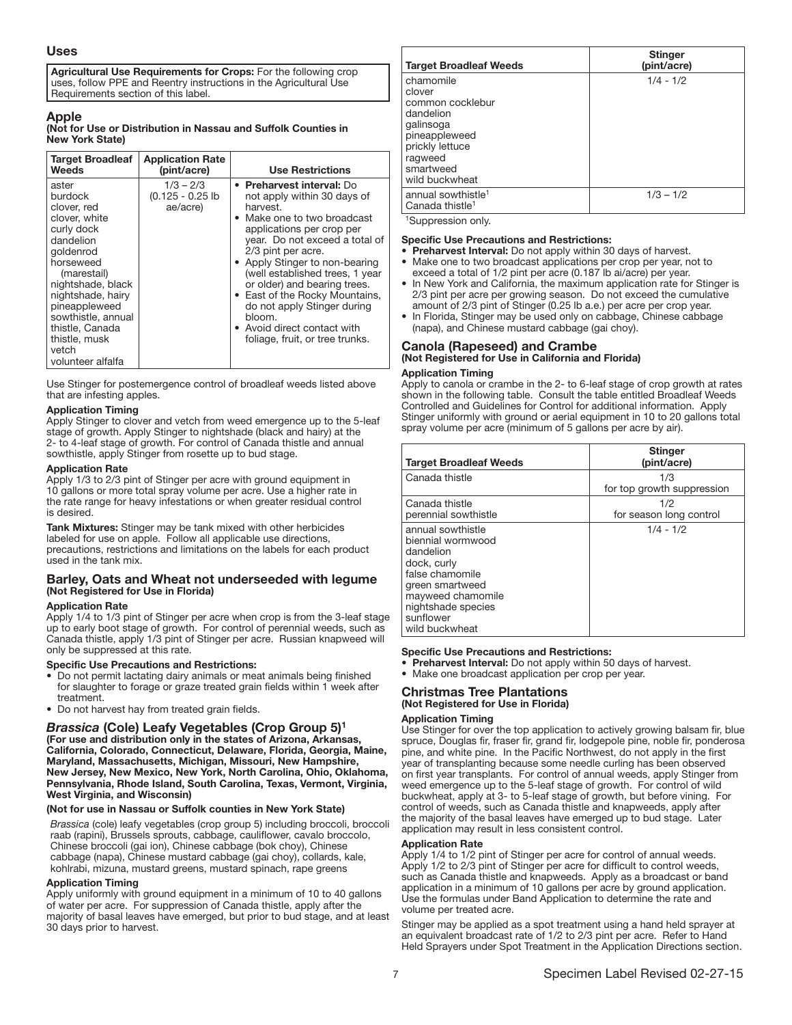#### Uses

Agricultural Use Requirements for Crops: For the following crop uses, follow PPE and Reentry instructions in the Agricultural Use Requirements section of this label.

#### Apple

(Not for Use or Distribution in Nassau and Suffolk Counties in New York State)

| <b>Target Broadleaf</b><br>Weeds                                                                                                                                                                                                                                        | <b>Application Rate</b><br>(pint/acre)      | <b>Use Restrictions</b>                                                                                                                                                                                                                                                                                                                                                                                                                    |
|-------------------------------------------------------------------------------------------------------------------------------------------------------------------------------------------------------------------------------------------------------------------------|---------------------------------------------|--------------------------------------------------------------------------------------------------------------------------------------------------------------------------------------------------------------------------------------------------------------------------------------------------------------------------------------------------------------------------------------------------------------------------------------------|
| aster<br>burdock<br>clover, red<br>clover, white<br>curly dock<br>dandelion<br>goldenrod<br>horseweed<br>(marestail)<br>nightshade, black<br>nightshade, hairy<br>pineappleweed<br>sowthistle, annual<br>thistle, Canada<br>thistle, musk<br>vetch<br>volunteer alfalfa | $1/3 - 2/3$<br>$(0.125 - 0.25)$<br>ae/acre) | • Preharvest interval: Do<br>not apply within 30 days of<br>harvest.<br>• Make one to two broadcast<br>applications per crop per<br>year. Do not exceed a total of<br>2/3 pint per acre.<br>• Apply Stinger to non-bearing<br>(well established trees, 1 year<br>or older) and bearing trees.<br>• East of the Rocky Mountains,<br>do not apply Stinger during<br>bloom.<br>• Avoid direct contact with<br>foliage, fruit, or tree trunks. |

Use Stinger for postemergence control of broadleaf weeds listed above that are infesting apples.

#### Application Timing

Apply Stinger to clover and vetch from weed emergence up to the 5-leaf stage of growth. Apply Stinger to nightshade (black and hairy) at the 2- to 4-leaf stage of growth. For control of Canada thistle and annual sowthistle, apply Stinger from rosette up to bud stage.

#### Application Rate

Apply 1/3 to 2/3 pint of Stinger per acre with ground equipment in 10 gallons or more total spray volume per acre. Use a higher rate in the rate range for heavy infestations or when greater residual control is desired.

Tank Mixtures: Stinger may be tank mixed with other herbicides labeled for use on apple. Follow all applicable use directions, precautions, restrictions and limitations on the labels for each product used in the tank mix.

## Barley, Oats and Wheat not underseeded with legume (Not Registered for Use in Florida)

#### Application Rate

Apply 1/4 to 1/3 pint of Stinger per acre when crop is from the 3-leaf stage up to early boot stage of growth. For control of perennial weeds, such as Canada thistle, apply 1/3 pint of Stinger per acre. Russian knapweed will only be suppressed at this rate.

#### Specific Use Precautions and Restrictions:

- Do not permit lactating dairy animals or meat animals being finished for slaughter to forage or graze treated grain fields within 1 week after treatment.
- Do not harvest hay from treated grain fields.

## *Brassica* (Cole) Leafy Vegetables (Crop Group 5)1

(For use and distribution only in the states of Arizona, Arkansas, California, Colorado, Connecticut, Delaware, Florida, Georgia, Maine, Maryland, Massachusetts, Michigan, Missouri, New Hampshire, New Jersey, New Mexico, New York, North Carolina, Ohio, Oklahoma, Pennsylvania, Rhode Island, South Carolina, Texas, Vermont, Virginia, West Virginia, and Wisconsin)

## (Not for use in Nassau or Suffolk counties in New York State)

*Brassica* (cole) leafy vegetables (crop group 5) including broccoli, broccoli raab (rapini), Brussels sprouts, cabbage, cauliflower, cavalo broccolo, Chinese broccoli (gai ion), Chinese cabbage (bok choy), Chinese cabbage (napa), Chinese mustard cabbage (gai choy), collards, kale, kohlrabi, mizuna, mustard greens, mustard spinach, rape greens

#### Application Timing

Apply uniformly with ground equipment in a minimum of 10 to 40 gallons of water per acre. For suppression of Canada thistle, apply after the majority of basal leaves have emerged, but prior to bud stage, and at least 30 days prior to harvest.

| <b>Target Broadleaf Weeds</b>                                                                                                                   | <b>Stinger</b><br>(pint/acre) |
|-------------------------------------------------------------------------------------------------------------------------------------------------|-------------------------------|
| chamomile<br>clover<br>common cocklebur<br>dandelion<br>galinsoga<br>pineappleweed<br>prickly lettuce<br>ragweed<br>smartweed<br>wild buckwheat | $1/4 - 1/2$                   |
| annual sowthistle <sup>1</sup><br>Canada thistle <sup>1</sup>                                                                                   | $1/3 - 1/2$                   |

1Suppression only.

#### Specific Use Precautions and Restrictions:

- Preharvest Interval: Do not apply within 30 days of harvest.
- Make one to two broadcast applications per crop per year, not to exceed a total of 1/2 pint per acre (0.187 lb ai/acre) per year.
- In New York and California, the maximum application rate for Stinger is 2/3 pint per acre per growing season. Do not exceed the cumulative amount of 2/3 pint of Stinger (0.25 lb a.e.) per acre per crop year.
- In Florida, Stinger may be used only on cabbage, Chinese cabbage (napa), and Chinese mustard cabbage (gai choy).

## Canola (Rapeseed) and Crambe (Not Registered for Use in California and Florida)

### Application Timing

Apply to canola or crambe in the 2- to 6-leaf stage of crop growth at rates shown in the following table. Consult the table entitled Broadleaf Weeds Controlled and Guidelines for Control for additional information. Apply Stinger uniformly with ground or aerial equipment in 10 to 20 gallons total spray volume per acre (minimum of 5 gallons per acre by air).

| <b>Target Broadleaf Weeds</b>                                                                                                                                                      | <b>Stinger</b><br>(pint/acre) |
|------------------------------------------------------------------------------------------------------------------------------------------------------------------------------------|-------------------------------|
| Canada thistle                                                                                                                                                                     | 1/3                           |
|                                                                                                                                                                                    | for top growth suppression    |
| Canada thistle                                                                                                                                                                     | 1/2                           |
| perennial sowthistle                                                                                                                                                               | for season long control       |
| annual sowthistle<br>biennial wormwood<br>dandelion<br>dock, curly<br>false chamomile<br>green smartweed<br>mayweed chamomile<br>nightshade species<br>sunflower<br>wild buckwheat | $1/4 - 1/2$                   |

#### Ī Specific Use Precautions and Restrictions:

- Preharvest Interval: Do not apply within 50 days of harvest.
- Make one broadcast application per crop per year.

## Christmas Tree Plantations (Not Registered for Use in Florida)

## Application Timing

Use Stinger for over the top application to actively growing balsam fir, blue spruce, Douglas fir, fraser fir, grand fir, lodgepole pine, noble fir, ponderosa pine, and white pine. In the Pacific Northwest, do not apply in the first year of transplanting because some needle curling has been observed on first year transplants. For control of annual weeds, apply Stinger from weed emergence up to the 5-leaf stage of growth. For control of wild buckwheat, apply at 3- to 5-leaf stage of growth, but before vining. For control of weeds, such as Canada thistle and knapweeds, apply after the majority of the basal leaves have emerged up to bud stage. Later application may result in less consistent control.

#### Application Rate

Apply 1/4 to 1/2 pint of Stinger per acre for control of annual weeds. Apply 1/2 to 2/3 pint of Stinger per acre for difficult to control weeds, such as Canada thistle and knapweeds. Apply as a broadcast or band application in a minimum of 10 gallons per acre by ground application. Use the formulas under Band Application to determine the rate and volume per treated acre.

Stinger may be applied as a spot treatment using a hand held sprayer at an equivalent broadcast rate of 1/2 to 2/3 pint per acre. Refer to Hand Held Sprayers under Spot Treatment in the Application Directions section.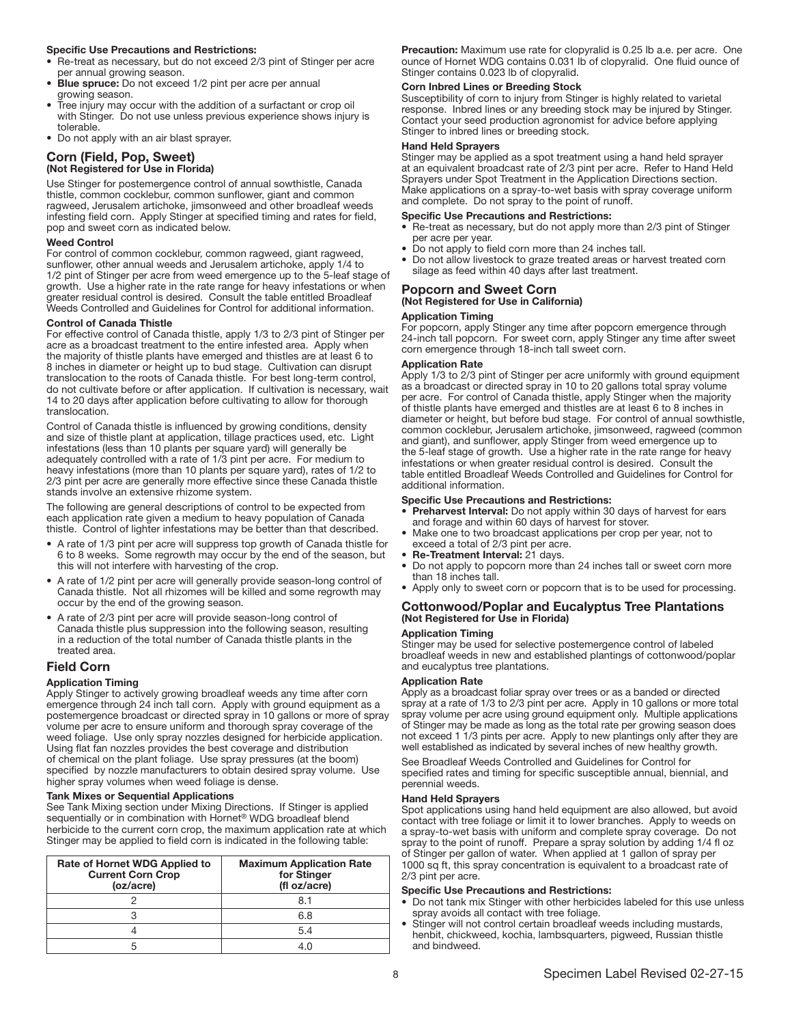#### Specific Use Precautions and Restrictions:

- Re-treat as necessary, but do not exceed 2/3 pint of Stinger per acre per annual growing season.
- Blue spruce: Do not exceed 1/2 pint per acre per annual growing season.
- Tree injury may occur with the addition of a surfactant or crop oil with Stinger. Do not use unless previous experience shows injury is tolerable.
- Do not apply with an air blast sprayer.

## Corn (Field, Pop, Sweet) (Not Registered for Use in Florida)

Use Stinger for postemergence control of annual sowthistle, Canada thistle, common cocklebur, common sunflower, giant and common ragweed, Jerusalem artichoke, jimsonweed and other broadleaf weeds infesting field corn. Apply Stinger at specified timing and rates for field, pop and sweet corn as indicated below.

#### Weed Control

For control of common cocklebur, common ragweed, giant ragweed, sunflower, other annual weeds and Jerusalem artichoke, apply 1/4 to 1/2 pint of Stinger per acre from weed emergence up to the 5-leaf stage of growth. Use a higher rate in the rate range for heavy infestations or when greater residual control is desired. Consult the table entitled Broadleaf Weeds Controlled and Guidelines for Control for additional information.

#### Control of Canada Thistle

For effective control of Canada thistle, apply 1/3 to 2/3 pint of Stinger per acre as a broadcast treatment to the entire infested area. Apply when the majority of thistle plants have emerged and thistles are at least 6 to 8 inches in diameter or height up to bud stage. Cultivation can disrupt translocation to the roots of Canada thistle. For best long-term control, do not cultivate before or after application. If cultivation is necessary, wait 14 to 20 days after application before cultivating to allow for thorough translocation.

Control of Canada thistle is influenced by growing conditions, density and size of thistle plant at application, tillage practices used, etc. Light infestations (less than 10 plants per square yard) will generally be adequately controlled with a rate of 1/3 pint per acre. For medium to heavy infestations (more than 10 plants per square yard), rates of 1/2 to 2/3 pint per acre are generally more effective since these Canada thistle stands involve an extensive rhizome system.

The following are general descriptions of control to be expected from each application rate given a medium to heavy population of Canada thistle. Control of lighter infestations may be better than that described.

- A rate of 1/3 pint per acre will suppress top growth of Canada thistle for 6 to 8 weeks. Some regrowth may occur by the end of the season, but this will not interfere with harvesting of the crop.
- A rate of 1/2 pint per acre will generally provide season-long control of Canada thistle. Not all rhizomes will be killed and some regrowth may occur by the end of the growing season.
- A rate of 2/3 pint per acre will provide season-long control of Canada thistle plus suppression into the following season, resulting in a reduction of the total number of Canada thistle plants in the treated area.

#### Field Corn

#### Application Timing

Apply Stinger to actively growing broadleaf weeds any time after corn emergence through 24 inch tall corn. Apply with ground equipment as a postemergence broadcast or directed spray in 10 gallons or more of spray volume per acre to ensure uniform and thorough spray coverage of the weed foliage. Use only spray nozzles designed for herbicide application. Using flat fan nozzles provides the best coverage and distribution of chemical on the plant foliage. Use spray pressures (at the boom) specified by nozzle manufacturers to obtain desired spray volume. Use higher spray volumes when weed foliage is dense.

#### Tank Mixes or Sequential Applications

See Tank Mixing section under Mixing Directions. If Stinger is applied sequentially or in combination with Hornet<sup>®</sup> WDG broadleaf blend herbicide to the current corn crop, the maximum application rate at which Stinger may be applied to field corn is indicated in the following table:

| <b>Rate of Hornet WDG Applied to</b><br><b>Current Corn Crop</b><br>(oz/acre) | <b>Maximum Application Rate</b><br>for Stinger<br>(fl oz/acre) |
|-------------------------------------------------------------------------------|----------------------------------------------------------------|
|                                                                               | 8.1                                                            |
|                                                                               | 6.8                                                            |
|                                                                               | 54                                                             |
|                                                                               |                                                                |

Precaution: Maximum use rate for clopyralid is 0.25 lb a.e. per acre. One ounce of Hornet WDG contains 0.031 lb of clopyralid. One fluid ounce of Stinger contains 0.023 lb of clopyralid.

#### Corn Inbred Lines or Breeding Stock

Susceptibility of corn to injury from Stinger is highly related to varietal response. Inbred lines or any breeding stock may be injured by Stinger. Contact your seed production agronomist for advice before applying Stinger to inbred lines or breeding stock.

#### Hand Held Sprayers

Stinger may be applied as a spot treatment using a hand held sprayer at an equivalent broadcast rate of 2/3 pint per acre. Refer to Hand Held Sprayers under Spot Treatment in the Application Directions section. Make applications on a spray-to-wet basis with spray coverage uniform and complete. Do not spray to the point of runoff.

#### Specific Use Precautions and Restrictions:

- Re-treat as necessary, but do not apply more than 2/3 pint of Stinger per acre per year.
- Do not apply to field corn more than 24 inches tall.
- Do not allow livestock to graze treated areas or harvest treated corn silage as feed within 40 days after last treatment.

## Popcorn and Sweet Corn (Not Registered for Use in California)

#### Application Timing

For popcorn, apply Stinger any time after popcorn emergence through 24-inch tall popcorn. For sweet corn, apply Stinger any time after sweet corn emergence through 18-inch tall sweet corn.

#### Application Rate

Apply 1/3 to 2/3 pint of Stinger per acre uniformly with ground equipment as a broadcast or directed spray in 10 to 20 gallons total spray volume per acre. For control of Canada thistle, apply Stinger when the majority of thistle plants have emerged and thistles are at least 6 to 8 inches in diameter or height, but before bud stage. For control of annual sowthistle, common cocklebur, Jerusalem artichoke, jimsonweed, ragweed (common and giant), and sunflower, apply Stinger from weed emergence up to the 5-leaf stage of growth. Use a higher rate in the rate range for heavy infestations or when greater residual control is desired. Consult the table entitled Broadleaf Weeds Controlled and Guidelines for Control for additional information.

#### Specific Use Precautions and Restrictions:

- Preharvest Interval: Do not apply within 30 days of harvest for ears and forage and within 60 days of harvest for stover.
- Make one to two broadcast applications per crop per year, not to exceed a total of 2/3 pint per acre.
- Re-Treatment Interval: 21 days.
- Do not apply to popcorn more than 24 inches tall or sweet corn more than 18 inches tall.
- Apply only to sweet corn or popcorn that is to be used for processing.

## Cottonwood/Poplar and Eucalyptus Tree Plantations (Not Registered for Use in Florida)

#### Application Timing

Stinger may be used for selective postemergence control of labeled broadleaf weeds in new and established plantings of cottonwood/poplar and eucalyptus tree plantations.

#### Application Rate

Apply as a broadcast foliar spray over trees or as a banded or directed spray at a rate of 1/3 to 2/3 pint per acre. Apply in 10 gallons or more total spray volume per acre using ground equipment only. Multiple applications of Stinger may be made as long as the total rate per growing season does not exceed 1 1/3 pints per acre. Apply to new plantings only after they are well established as indicated by several inches of new healthy growth.

See Broadleaf Weeds Controlled and Guidelines for Control for specified rates and timing for specific susceptible annual, biennial, and perennial weeds.

#### Hand Held Sprayers

Spot applications using hand held equipment are also allowed, but avoid contact with tree foliage or limit it to lower branches. Apply to weeds on a spray-to-wet basis with uniform and complete spray coverage. Do not spray to the point of runoff. Prepare a spray solution by adding 1/4 fl oz of Stinger per gallon of water. When applied at 1 gallon of spray per 1000 sq ft, this spray concentration is equivalent to a broadcast rate of 2/3 pint per acre.

#### Specific Use Precautions and Restrictions:

- Do not tank mix Stinger with other herbicides labeled for this use unless spray avoids all contact with tree foliage.
- Stinger will not control certain broadleaf weeds including mustards, henbit, chickweed, kochia, lambsquarters, pigweed, Russian thistle and bindweed.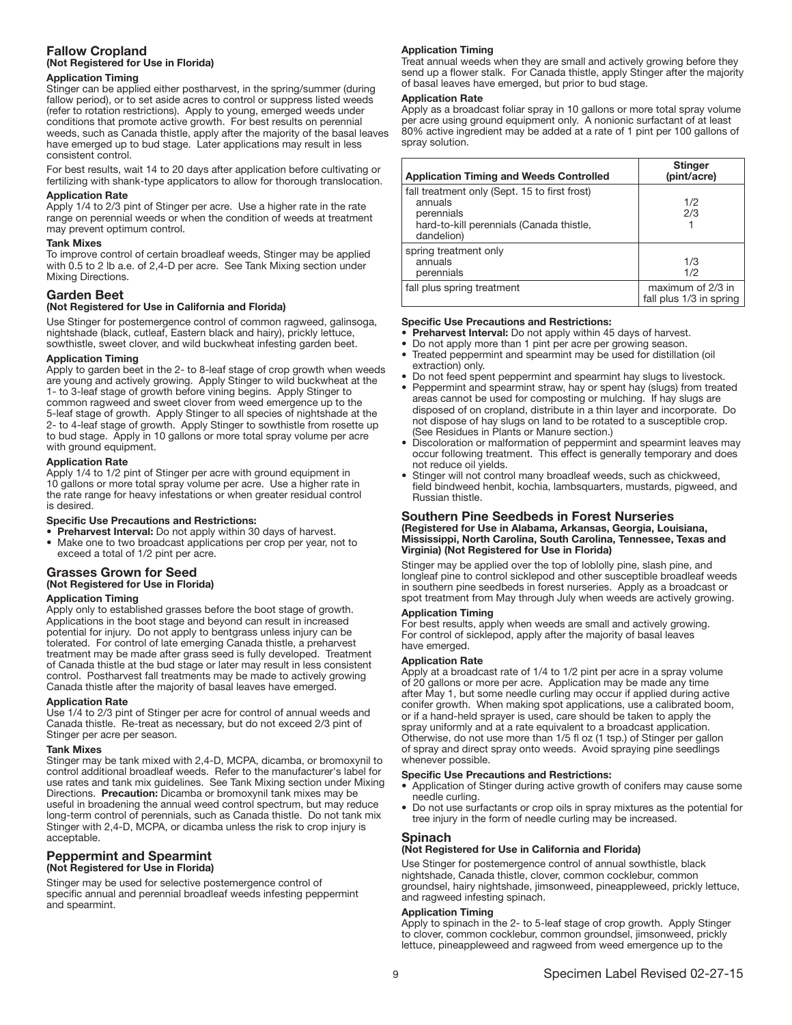## Fallow Cropland (Not Registered for Use in Florida)

#### Application Timing

Stinger can be applied either postharvest, in the spring/summer (during fallow period), or to set aside acres to control or suppress listed weeds (refer to rotation restrictions). Apply to young, emerged weeds under conditions that promote active growth. For best results on perennial weeds, such as Canada thistle, apply after the majority of the basal leaves have emerged up to bud stage. Later applications may result in less consistent control.

For best results, wait 14 to 20 days after application before cultivating or fertilizing with shank-type applicators to allow for thorough translocation.

#### Application Rate

Apply 1/4 to 2/3 pint of Stinger per acre. Use a higher rate in the rate range on perennial weeds or when the condition of weeds at treatment may prevent optimum control.

#### Tank Mixes

To improve control of certain broadleaf weeds, Stinger may be applied with 0.5 to 2 lb a.e. of 2,4-D per acre. See Tank Mixing section under Mixing Directions.

## Garden Beet

## (Not Registered for Use in California and Florida)

Use Stinger for postemergence control of common ragweed, galinsoga, nightshade (black, cutleaf, Eastern black and hairy), prickly lettuce, sowthistle, sweet clover, and wild buckwheat infesting garden beet.

#### Application Timing

Apply to garden beet in the 2- to 8-leaf stage of crop growth when weeds are young and actively growing. Apply Stinger to wild buckwheat at the 1- to 3-leaf stage of growth before vining begins. Apply Stinger to common ragweed and sweet clover from weed emergence up to the 5-leaf stage of growth. Apply Stinger to all species of nightshade at the 2- to 4-leaf stage of growth. Apply Stinger to sowthistle from rosette up to bud stage. Apply in 10 gallons or more total spray volume per acre with ground equipment.

#### Application Rate

Apply 1/4 to 1/2 pint of Stinger per acre with ground equipment in 10 gallons or more total spray volume per acre. Use a higher rate in the rate range for heavy infestations or when greater residual control is desired.

#### Specific Use Precautions and Restrictions:

- Preharvest Interval: Do not apply within 30 days of harvest.
- Make one to two broadcast applications per crop per year, not to exceed a total of 1/2 pint per acre.

## Grasses Grown for Seed (Not Registered for Use in Florida)

#### Application Timing

Apply only to established grasses before the boot stage of growth. Applications in the boot stage and beyond can result in increased potential for injury. Do not apply to bentgrass unless injury can be tolerated. For control of late emerging Canada thistle, a preharvest treatment may be made after grass seed is fully developed. Treatment of Canada thistle at the bud stage or later may result in less consistent control. Postharvest fall treatments may be made to actively growing Canada thistle after the majority of basal leaves have emerged.

#### Application Rate

Use 1/4 to 2/3 pint of Stinger per acre for control of annual weeds and Canada thistle. Re-treat as necessary, but do not exceed 2/3 pint of Stinger per acre per season.

#### Tank Mixes

Stinger may be tank mixed with 2,4-D, MCPA, dicamba, or bromoxynil to control additional broadleaf weeds. Refer to the manufacturer's label for use rates and tank mix guidelines. See Tank Mixing section under Mixing Directions. Precaution: Dicamba or bromoxynil tank mixes may be useful in broadening the annual weed control spectrum, but may reduce long-term control of perennials, such as Canada thistle. Do not tank mix Stinger with 2,4-D, MCPA, or dicamba unless the risk to crop injury is acceptable.

## Peppermint and Spearmint (Not Registered for Use in Florida)

Stinger may be used for selective postemergence control of specific annual and perennial broadleaf weeds infesting peppermint and spearmint.

#### Application Timing

Treat annual weeds when they are small and actively growing before they send up a flower stalk. For Canada thistle, apply Stinger after the majority of basal leaves have emerged, but prior to bud stage.

#### Application Rate

Apply as a broadcast foliar spray in 10 gallons or more total spray volume per acre using ground equipment only. A nonionic surfactant of at least 80% active ingredient may be added at a rate of 1 pint per 100 gallons of spray solution.

| <b>Application Timing and Weeds Controlled</b>                                                                                   | <b>Stinger</b><br>(pint/acre)                |
|----------------------------------------------------------------------------------------------------------------------------------|----------------------------------------------|
| fall treatment only (Sept. 15 to first frost)<br>annuals<br>perennials<br>hard-to-kill perennials (Canada thistle,<br>dandelion) | 1/2<br>2/3                                   |
| spring treatment only<br>annuals<br>perennials                                                                                   | 1/3<br>1/2                                   |
| fall plus spring treatment                                                                                                       | maximum of 2/3 in<br>fall plus 1/3 in spring |
|                                                                                                                                  |                                              |

#### Specific Use Precautions and Restrictions:

- Preharvest Interval: Do not apply within 45 days of harvest.
- Do not apply more than 1 pint per acre per growing season.<br>• Treated pennermint and spearmint may be used for distillati
- Treated peppermint and spearmint may be used for distillation (oil extraction) only.
- Do not feed spent peppermint and spearmint hay slugs to livestock. • Peppermint and spearmint straw, hay or spent hay (slugs) from treated
- areas cannot be used for composting or mulching. If hay slugs are disposed of on cropland, distribute in a thin layer and incorporate. Do not dispose of hay slugs on land to be rotated to a susceptible crop. (See Residues in Plants or Manure section.)
- Discoloration or malformation of peppermint and spearmint leaves may occur following treatment. This effect is generally temporary and does not reduce oil yields.
- Stinger will not control many broadleaf weeds, such as chickweed, field bindweed henbit, kochia, lambsquarters, mustards, pigweed, and Russian thistle.

#### Southern Pine Seedbeds in Forest Nurseries (Registered for Use in Alabama, Arkansas, Georgia, Louisiana, Mississippi, North Carolina, South Carolina, Tennessee, Texas and Virginia) (Not Registered for Use in Florida)

Stinger may be applied over the top of loblolly pine, slash pine, and longleaf pine to control sicklepod and other susceptible broadleaf weeds in southern pine seedbeds in forest nurseries. Apply as a broadcast or spot treatment from May through July when weeds are actively growing.

## Application Timing

For best results, apply when weeds are small and actively growing. For control of sicklepod, apply after the majority of basal leaves have emerged.

#### Application Rate

Apply at a broadcast rate of 1/4 to 1/2 pint per acre in a spray volume of 20 gallons or more per acre. Application may be made any time after May 1, but some needle curling may occur if applied during active conifer growth. When making spot applications, use a calibrated boom, or if a hand-held sprayer is used, care should be taken to apply the spray uniformly and at a rate equivalent to a broadcast application. Otherwise, do not use more than 1/5 fl oz (1 tsp.) of Stinger per gallon of spray and direct spray onto weeds. Avoid spraying pine seedlings whenever possible.

#### Specific Use Precautions and Restrictions:

- Application of Stinger during active growth of conifers may cause some needle curling.
- Do not use surfactants or crop oils in spray mixtures as the potential for tree injury in the form of needle curling may be increased.

## **Spinach**

## (Not Registered for Use in California and Florida)

Use Stinger for postemergence control of annual sowthistle, black nightshade, Canada thistle, clover, common cocklebur, common groundsel, hairy nightshade, jimsonweed, pineappleweed, prickly lettuce, and ragweed infesting spinach.

#### Application Timing

Apply to spinach in the 2- to 5-leaf stage of crop growth. Apply Stinger to clover, common cocklebur, common groundsel, jimsonweed, prickly lettuce, pineappleweed and ragweed from weed emergence up to the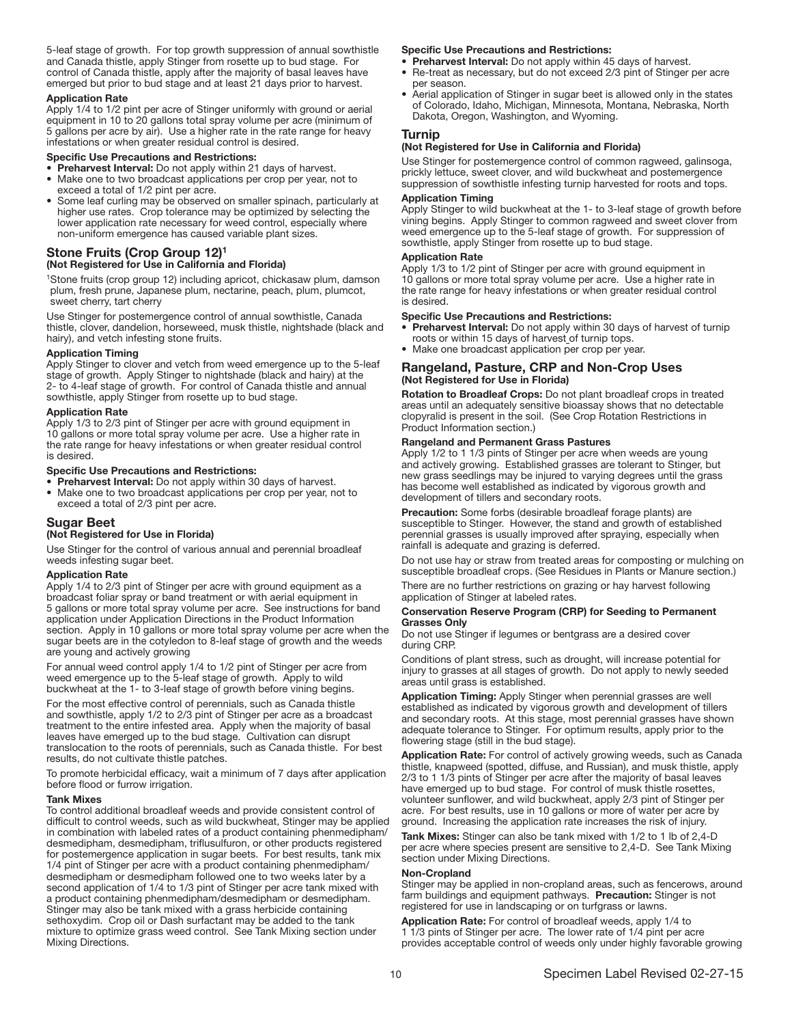5-leaf stage of growth. For top growth suppression of annual sowthistle and Canada thistle, apply Stinger from rosette up to bud stage. For control of Canada thistle, apply after the majority of basal leaves have emerged but prior to bud stage and at least 21 days prior to harvest.

#### Application Rate

Apply 1/4 to 1/2 pint per acre of Stinger uniformly with ground or aerial equipment in 10 to 20 gallons total spray volume per acre (minimum of 5 gallons per acre by air). Use a higher rate in the rate range for heavy infestations or when greater residual control is desired.

#### Specific Use Precautions and Restrictions:

- Preharvest Interval: Do not apply within 21 days of harvest. • Make one to two broadcast applications per crop per year, not to
- exceed a total of 1/2 pint per acre. • Some leaf curling may be observed on smaller spinach, particularly at higher use rates. Crop tolerance may be optimized by selecting the lower application rate necessary for weed control, especially where non-uniform emergence has caused variable plant sizes.

## Stone Fruits (Crop Group 12)<sup>1</sup> (Not Registered for Use in California and Florida)

1Stone fruits (crop group 12) including apricot, chickasaw plum, damson plum, fresh prune, Japanese plum, nectarine, peach, plum, plumcot, sweet cherry, tart cherry

Use Stinger for postemergence control of annual sowthistle, Canada thistle, clover, dandelion, horseweed, musk thistle, nightshade (black and hairy), and vetch infesting stone fruits.

#### Application Timing

Apply Stinger to clover and vetch from weed emergence up to the 5-leaf stage of growth. Apply Stinger to nightshade (black and hairy) at the 2- to 4-leaf stage of growth. For control of Canada thistle and annual sowthistle, apply Stinger from rosette up to bud stage.

#### Application Rate

Apply 1/3 to 2/3 pint of Stinger per acre with ground equipment in 10 gallons or more total spray volume per acre. Use a higher rate in the rate range for heavy infestations or when greater residual control is desired.

#### Specific Use Precautions and Restrictions:

- Preharvest Interval: Do not apply within 30 days of harvest. • Make one to two broadcast applications per crop per year, not to
- exceed a total of 2/3 pint per acre.

## Sugar Beet

## (Not Registered for Use in Florida)

Use Stinger for the control of various annual and perennial broadleaf weeds infesting sugar beet.

#### Application Rate

Apply 1/4 to 2/3 pint of Stinger per acre with ground equipment as a broadcast foliar spray or band treatment or with aerial equipment in 5 gallons or more total spray volume per acre. See instructions for band application under Application Directions in the Product Information section. Apply in 10 gallons or more total spray volume per acre when the sugar beets are in the cotyledon to 8-leaf stage of growth and the weeds are young and actively growing

For annual weed control apply 1/4 to 1/2 pint of Stinger per acre from weed emergence up to the 5-leaf stage of growth. Apply to wild buckwheat at the 1- to 3-leaf stage of growth before vining begins.

For the most effective control of perennials, such as Canada thistle and sowthistle, apply 1/2 to 2/3 pint of Stinger per acre as a broadcast treatment to the entire infested area. Apply when the majority of basal leaves have emerged up to the bud stage. Cultivation can disrupt translocation to the roots of perennials, such as Canada thistle. For best results, do not cultivate thistle patches.

To promote herbicidal efficacy, wait a minimum of 7 days after application before flood or furrow irrigation.

#### Tank Mixes

To control additional broadleaf weeds and provide consistent control of difficult to control weeds, such as wild buckwheat, Stinger may be applied in combination with labeled rates of a product containing phenmedipham/ desmedipham, desmedipham, triflusulfuron, or other products registered for postemergence application in sugar beets. For best results, tank mix 1/4 pint of Stinger per acre with a product containing phenmedipham/ desmedipham or desmedipham followed one to two weeks later by a second application of 1/4 to 1/3 pint of Stinger per acre tank mixed with a product containing phenmedipham/desmedipham or desmedipham. Stinger may also be tank mixed with a grass herbicide containing sethoxydim. Crop oil or Dash surfactant may be added to the tank mixture to optimize grass weed control. See Tank Mixing section under Mixing Directions.

#### Specific Use Precautions and Restrictions:

- Preharvest Interval: Do not apply within 45 days of harvest. • Re-treat as necessary, but do not exceed 2/3 pint of Stinger per acre per season.
- Aerial application of Stinger in sugar beet is allowed only in the states of Colorado, Idaho, Michigan, Minnesota, Montana, Nebraska, North Dakota, Oregon, Washington, and Wyoming.

#### Turnip

## (Not Registered for Use in California and Florida)

Use Stinger for postemergence control of common ragweed, galinsoga. prickly lettuce, sweet clover, and wild buckwheat and postemergence suppression of sowthistle infesting turnip harvested for roots and tops.

#### Application Timing

Apply Stinger to wild buckwheat at the 1- to 3-leaf stage of growth before vining begins. Apply Stinger to common ragweed and sweet clover from weed emergence up to the 5-leaf stage of growth. For suppression of sowthistle, apply Stinger from rosette up to bud stage.

#### Application Rate

Apply 1/3 to 1/2 pint of Stinger per acre with ground equipment in 10 gallons or more total spray volume per acre. Use a higher rate in the rate range for heavy infestations or when greater residual control is desired.

#### Specific Use Precautions and Restrictions:

- Preharvest Interval: Do not apply within 30 days of harvest of turnip roots or within 15 days of harvest of turnip tops.
- Make one broadcast application per crop per year.

## Rangeland, Pasture, CRP and Non-Crop Uses (Not Registered for Use in Florida)

Rotation to Broadleaf Crops: Do not plant broadleaf crops in treated areas until an adequately sensitive bioassay shows that no detectable clopyralid is present in the soil. (See Crop Rotation Restrictions in Product Information section.)

#### Rangeland and Permanent Grass Pastures

Apply 1/2 to 1 1/3 pints of Stinger per acre when weeds are young and actively growing. Established grasses are tolerant to Stinger, but new grass seedlings may be injured to varying degrees until the grass has become well established as indicated by vigorous growth and development of tillers and secondary roots.

Precaution: Some forbs (desirable broadleaf forage plants) are susceptible to Stinger. However, the stand and growth of established perennial grasses is usually improved after spraying, especially when rainfall is adequate and grazing is deferred.

Do not use hay or straw from treated areas for composting or mulching on susceptible broadleaf crops. (See Residues in Plants or Manure section.)

There are no further restrictions on grazing or hay harvest following application of Stinger at labeled rates.

#### Conservation Reserve Program (CRP) for Seeding to Permanent Grasses Only

Do not use Stinger if legumes or bentgrass are a desired cover during CRP.

Conditions of plant stress, such as drought, will increase potential for injury to grasses at all stages of growth. Do not apply to newly seeded areas until grass is established.

Application Timing: Apply Stinger when perennial grasses are well established as indicated by vigorous growth and development of tillers and secondary roots. At this stage, most perennial grasses have shown adequate tolerance to Stinger. For optimum results, apply prior to the flowering stage (still in the bud stage).

Application Rate: For control of actively growing weeds, such as Canada thistle, knapweed (spotted, diffuse, and Russian), and musk thistle, apply 2/3 to 1 1/3 pints of Stinger per acre after the majority of basal leaves have emerged up to bud stage. For control of musk thistle rosettes, volunteer sunflower, and wild buckwheat, apply 2/3 pint of Stinger per acre. For best results, use in 10 gallons or more of water per acre by ground. Increasing the application rate increases the risk of injury.

Tank Mixes: Stinger can also be tank mixed with 1/2 to 1 lb of 2,4-D per acre where species present are sensitive to 2,4-D. See Tank Mixing section under Mixing Directions.

#### Non-Cropland

Stinger may be applied in non-cropland areas, such as fencerows, around farm buildings and equipment pathways. Precaution: Stinger is not registered for use in landscaping or on turfgrass or lawns.

Application Rate: For control of broadleaf weeds, apply 1/4 to 1 1/3 pints of Stinger per acre. The lower rate of 1/4 pint per acre provides acceptable control of weeds only under highly favorable growing